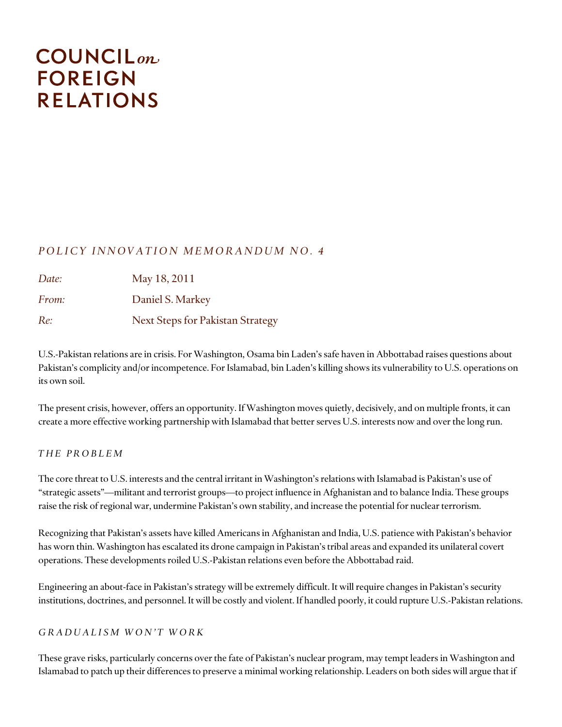# **COUNCIL**<sub>on</sub> **FOREIGN RELATIONS**

# *POLICY INNOVATION MEMORANDUM NO. 4*

| Date:        | May 18, 2011                            |  |
|--------------|-----------------------------------------|--|
| <i>From:</i> | Daniel S. Markey                        |  |
| Re:          | <b>Next Steps for Pakistan Strategy</b> |  |

U.S.-Pakistan relations are in crisis. For Washington, Osama bin Laden's safe haven in Abbottabad raises questions about Pakistan's complicity and/or incompetence. For Islamabad, bin Laden's killing shows its vulnerability to U.S. operations on its own soil.

The present crisis, however, offers an opportunity. If Washington moves quietly, decisively, and on multiple fronts, it can create a more effective working partnership with Islamabad that better serves U.S. interests now and over the long run.

#### *THE PROBLEM*

The core threat to U.S. interests and the central irritant in Washington's relations with Islamabad is Pakistan's use of "strategic assets"—militant and terrorist groups—to project influence in Afghanistan and to balance India. These groups raise the risk of regional war, undermine Pakistan's own stability, and increase the potential for nuclear terrorism.

Recognizing that Pakistan's assets have killed Americans in Afghanistan and India, U.S. patience with Pakistan's behavior has worn thin. Washington has escalated its drone campaign in Pakistan's tribal areas and expanded its unilateral covert operations. These developments roiled U.S.-Pakistan relations even before the Abbottabad raid.

Engineering an about-face in Pakistan's strategy will be extremely difficult. It will require changes in Pakistan's security institutions, doctrines, and personnel. It will be costly and violent. If handled poorly, it could rupture U.S.-Pakistan relations.

#### *GRADUALISM WON'T WORK*

These grave risks, particularly concerns over the fate of Pakistan's nuclear program, may tempt leaders in Washington and Islamabad to patch up their differences to preserve a minimal working relationship. Leaders on both sides will argue that if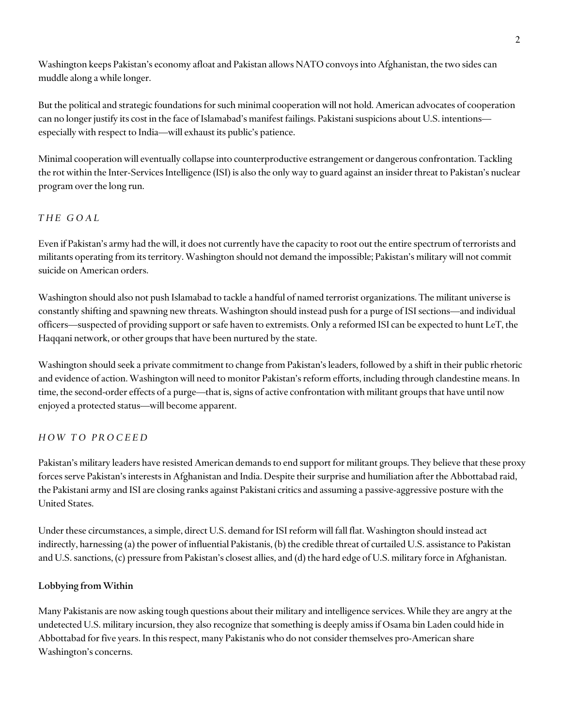Washington keeps Pakistan's economy afloat and Pakistan allows NATO convoys into Afghanistan, the two sides can muddle along a while longer.

But the political and strategic foundations for such minimal cooperation will not hold. American advocates of cooperation can no longer justify its cost in the face of Islamabad's manifest failings. Pakistani suspicions about U.S. intentions especially with respect to India—will exhaust its public's patience.

Minimal cooperation will eventually collapse into counterproductive estrangement or dangerous confrontation. Tackling the rot within the Inter-Services Intelligence (ISI) is also the only way to guard against an insider threat to Pakistan's nuclear program over the long run.

## *THE GOAL*

Even if Pakistan's army had the will, it does not currently have the capacity to root out the entire spectrum of terrorists and militants operating from its territory. Washington should not demand the impossible; Pakistan's military will not commit suicide on American orders.

Washington should also not push Islamabad to tackle a handful of named terrorist organizations. The militant universe is constantly shifting and spawning new threats. Washington should instead push for a purge of ISI sections—and individual officers—suspected of providing support or safe haven to extremists. Only a reformed ISI can be expected to hunt LeT, the Haqqani network, or other groups that have been nurtured by the state.

Washington should seek a private commitment to change from Pakistan's leaders, followed by a shift in their public rhetoric and evidence of action. Washington will need to monitor Pakistan's reform efforts, including through clandestine means. In time, the second-order effects of a purge—that is, signs of active confrontation with militant groups that have until now enjoyed a protected status—will become apparent.

#### *HOW TO PROCEED*

Pakistan's military leaders have resisted American demands to end support for militant groups. They believe that these proxy forces serve Pakistan's interests in Afghanistan and India. Despite their surprise and humiliation after the Abbottabad raid, the Pakistani army and ISI are closing ranks against Pakistani critics and assuming a passive-aggressive posture with the United States.

Under these circumstances, a simple, direct U.S. demand for ISI reform will fall flat. Washington should instead act indirectly, harnessing (a) the power of influential Pakistanis, (b) the credible threat of curtailed U.S. assistance to Pakistan and U.S. sanctions, (c) pressure from Pakistan's closest allies, and (d) the hard edge of U.S. military force in Afghanistan.

#### Lobbying from Within

Many Pakistanis are now asking tough questions about their military and intelligence services. While they are angry at the undetected U.S. military incursion, they also recognize that something is deeply amiss if Osama bin Laden could hide in Abbottabad for five years. In this respect, many Pakistanis who do not consider themselves pro-American share Washington's concerns.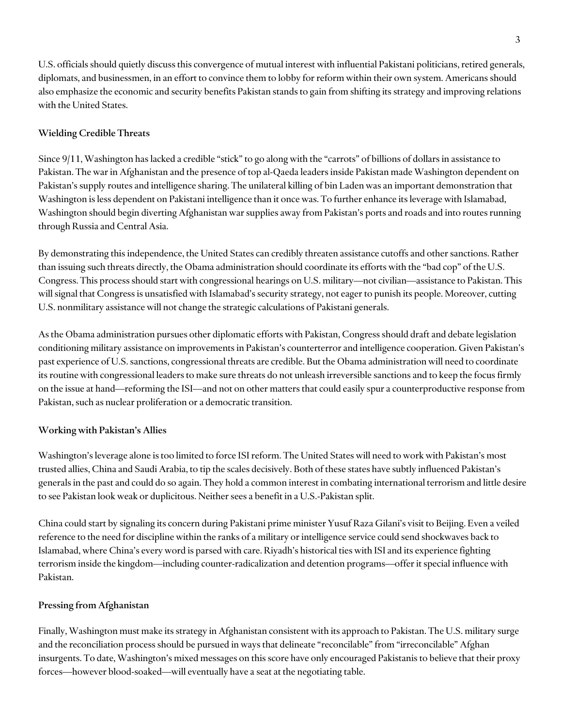U.S. officials should quietly discuss this convergence of mutual interest with influential Pakistani politicians, retired generals, diplomats, and businessmen, in an effort to convince them to lobby for reform within their own system. Americans should also emphasize the economic and security benefits Pakistan stands to gain from shifting its strategy and improving relations with the United States.

## Wielding Credible Threats

Since 9/11, Washington has lacked a credible "stick" to go along with the "carrots" of billions of dollars in assistance to Pakistan. The war in Afghanistan and the presence of top al-Qaeda leaders inside Pakistan made Washington dependent on Pakistan's supply routes and intelligence sharing. The unilateral killing of bin Laden was an important demonstration that Washington is less dependent on Pakistani intelligence than it once was. To further enhance its leverage with Islamabad, Washington should begin diverting Afghanistan war supplies away from Pakistan's ports and roads and into routes running through Russia and Central Asia.

By demonstrating this independence, the United States can credibly threaten assistance cutoffs and other sanctions. Rather than issuing such threats directly, the Obama administration should coordinate its efforts with the "bad cop" of the U.S. Congress. This process should start with congressional hearings on U.S. military—not civilian—assistance to Pakistan. This will signal that Congress is unsatisfied with Islamabad's security strategy, not eager to punish its people. Moreover, cutting U.S. nonmilitary assistance will not change the strategic calculations of Pakistani generals.

As the Obama administration pursues other diplomatic efforts with Pakistan, Congress should draft and debate legislation conditioning military assistance on improvements in Pakistan's counterterror and intelligence cooperation. Given Pakistan's past experience of U.S. sanctions, congressional threats are credible. But the Obama administration will need to coordinate its routine with congressional leaders to make sure threats do not unleash irreversible sanctions and to keep the focus firmly on the issue at hand—reforming the ISI—and not on other matters that could easily spur a counterproductive response from Pakistan, such as nuclear proliferation or a democratic transition.

#### Working with Pakistan's Allies

Washington's leverage alone is too limited to force ISI reform. The United States will need to work with Pakistan's most trusted allies, China and Saudi Arabia, to tip the scales decisively. Both of these states have subtly influenced Pakistan's generals in the past and could do so again. They hold a common interest in combating international terrorism and little desire to see Pakistan look weak or duplicitous. Neither sees a benefit in a U.S.-Pakistan split.

China could start by signaling its concern during Pakistani prime minister Yusuf Raza Gilani's visit to Beijing. Even a veiled reference to the need for discipline within the ranks of a military or intelligence service could send shockwaves back to Islamabad, where China's every word is parsed with care. Riyadh's historical ties with ISI and its experience fighting terrorism inside the kingdom—including counter-radicalization and detention programs—offer it special influence with Pakistan.

#### Pressing from Afghanistan

Finally, Washington must make its strategy in Afghanistan consistent with its approach to Pakistan. The U.S. military surge and the reconciliation process should be pursued in ways that delineate "reconcilable" from "irreconcilable" Afghan insurgents. To date, Washington's mixed messages on this score have only encouraged Pakistanis to believe that their proxy forces—however blood-soaked—will eventually have a seat at the negotiating table.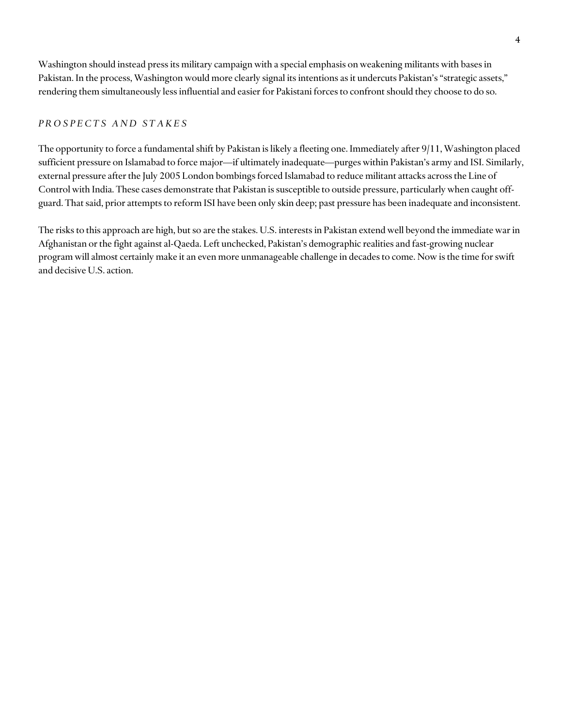Washington should instead press its military campaign with a special emphasis on weakening militants with bases in Pakistan. In the process, Washington would more clearly signal its intentions as it undercuts Pakistan's "strategic assets," rendering them simultaneously less influential and easier for Pakistani forces to confront should they choose to do so.

## *PROSPECTS AND STAKES*

The opportunity to force a fundamental shift by Pakistan is likely a fleeting one. Immediately after 9/11, Washington placed sufficient pressure on Islamabad to force major—if ultimately inadequate—purges within Pakistan's army and ISI. Similarly, external pressure after the July 2005 London bombings forced Islamabad to reduce militant attacks across the Line of Control with India. These cases demonstrate that Pakistan is susceptible to outside pressure, particularly when caught offguard. That said, prior attempts to reform ISI have been only skin deep; past pressure has been inadequate and inconsistent.

The risks to this approach are high, but so are the stakes. U.S. interests in Pakistan extend well beyond the immediate war in Afghanistan or the fight against al-Qaeda. Left unchecked, Pakistan's demographic realities and fast-growing nuclear program will almost certainly make it an even more unmanageable challenge in decades to come. Now is the time for swift and decisive U.S. action.